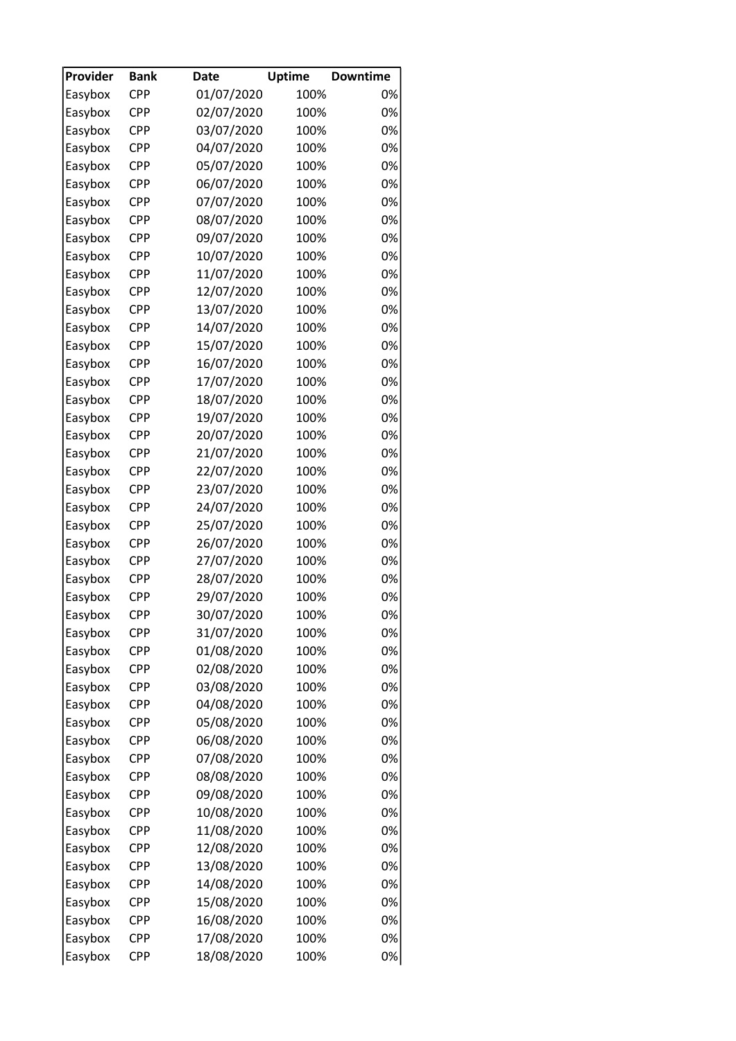| Provider | <b>Bank</b> | <b>Date</b>              | <b>Uptime</b> | <b>Downtime</b> |
|----------|-------------|--------------------------|---------------|-----------------|
| Easybox  | <b>CPP</b>  | 01/07/2020               | 100%          | 0%              |
| Easybox  | CPP         | 02/07/2020               | 100%          | 0%              |
| Easybox  | <b>CPP</b>  | 03/07/2020               | 100%          | 0%              |
| Easybox  | <b>CPP</b>  | 04/07/2020               | 100%          | 0%              |
| Easybox  | <b>CPP</b>  | 05/07/2020               | 100%          | 0%              |
| Easybox  | <b>CPP</b>  | 06/07/2020               | 100%          | 0%              |
| Easybox  | <b>CPP</b>  | 07/07/2020               | 100%          | 0%              |
| Easybox  | <b>CPP</b>  | 08/07/2020               | 100%          | 0%              |
| Easybox  | CPP         | 09/07/2020               | 100%          | 0%              |
| Easybox  | <b>CPP</b>  | 10/07/2020               | 100%          | 0%              |
| Easybox  | <b>CPP</b>  | 11/07/2020               | 100%          | 0%              |
| Easybox  | <b>CPP</b>  | 12/07/2020               | 100%          | 0%              |
| Easybox  | <b>CPP</b>  | 13/07/2020               | 100%          | 0%              |
| Easybox  | <b>CPP</b>  | 14/07/2020               | 100%          | 0%              |
| Easybox  | <b>CPP</b>  | 15/07/2020               | 100%          | 0%              |
| Easybox  | <b>CPP</b>  | 16/07/2020               | 100%          | 0%              |
| Easybox  | <b>CPP</b>  | 17/07/2020               | 100%          | 0%              |
| Easybox  | <b>CPP</b>  | 18/07/2020               | 100%          | 0%              |
| Easybox  | <b>CPP</b>  | 19/07/2020               | 100%          | 0%              |
| Easybox  | <b>CPP</b>  | 20/07/2020               | 100%          | 0%              |
| Easybox  | CPP         | 21/07/2020               | 100%          | 0%              |
| Easybox  | <b>CPP</b>  | 22/07/2020               | 100%          | 0%              |
| Easybox  | <b>CPP</b>  | 23/07/2020               | 100%          | 0%              |
| Easybox  | <b>CPP</b>  | 24/07/2020               | 100%          | 0%              |
| Easybox  | <b>CPP</b>  | 25/07/2020               | 100%          | 0%              |
|          | CPP         |                          | 100%          | 0%              |
| Easybox  | <b>CPP</b>  | 26/07/2020<br>27/07/2020 |               | 0%              |
| Easybox  |             |                          | 100%          |                 |
| Easybox  | <b>CPP</b>  | 28/07/2020               | 100%          | 0%              |
| Easybox  | <b>CPP</b>  | 29/07/2020               | 100%          | 0%              |
| Easybox  | <b>CPP</b>  | 30/07/2020               | 100%          | 0%              |
| Easybox  | <b>CPP</b>  | 31/07/2020               | 100%          | 0%              |
| Easybox  | CPP         | 01/08/2020               | 100%          | 0%              |
| Easybox  | CPP         | 02/08/2020               | 100%          | 0%              |
| Easybox  | <b>CPP</b>  | 03/08/2020               | 100%          | 0%              |
| Easybox  | CPP         | 04/08/2020               | 100%          | 0%              |
| Easybox  | <b>CPP</b>  | 05/08/2020               | 100%          | 0%              |
| Easybox  | <b>CPP</b>  | 06/08/2020               | 100%          | 0%              |
| Easybox  | CPP         | 07/08/2020               | 100%          | 0%              |
| Easybox  | CPP         | 08/08/2020               | 100%          | 0%              |
| Easybox  | CPP         | 09/08/2020               | 100%          | 0%              |
| Easybox  | <b>CPP</b>  | 10/08/2020               | 100%          | 0%              |
| Easybox  | CPP         | 11/08/2020               | 100%          | 0%              |
| Easybox  | CPP         | 12/08/2020               | 100%          | 0%              |
| Easybox  | CPP         | 13/08/2020               | 100%          | 0%              |
| Easybox  | CPP         | 14/08/2020               | 100%          | 0%              |
| Easybox  | CPP         | 15/08/2020               | 100%          | 0%              |
| Easybox  | <b>CPP</b>  | 16/08/2020               | 100%          | 0%              |
| Easybox  | CPP         | 17/08/2020               | 100%          | 0%              |
| Easybox  | <b>CPP</b>  | 18/08/2020               | 100%          | 0%              |